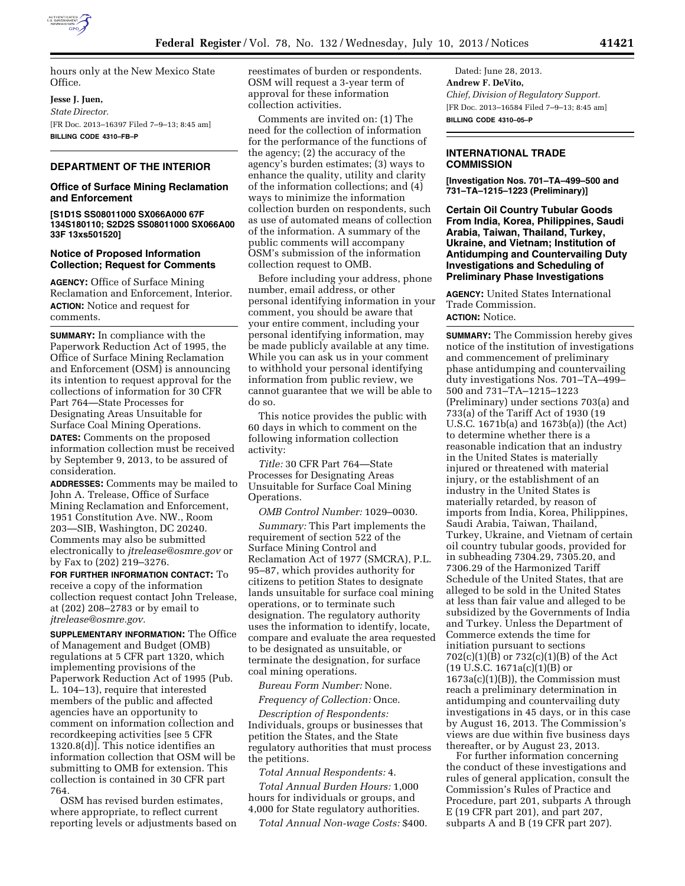

hours only at the New Mexico State Office.

**Jesse J. Juen,** 

*State Director.*  [FR Doc. 2013–16397 Filed 7–9–13; 8:45 am] **BILLING CODE 4310–FB–P** 

## **DEPARTMENT OF THE INTERIOR**

## **Office of Surface Mining Reclamation and Enforcement**

**[S1D1S SS08011000 SX066A000 67F 134S180110; S2D2S SS08011000 SX066A00 33F 13xs501520]** 

## **Notice of Proposed Information Collection; Request for Comments**

**AGENCY:** Office of Surface Mining Reclamation and Enforcement, Interior. **ACTION:** Notice and request for comments.

**SUMMARY:** In compliance with the Paperwork Reduction Act of 1995, the Office of Surface Mining Reclamation and Enforcement (OSM) is announcing its intention to request approval for the collections of information for 30 CFR Part 764—State Processes for Designating Areas Unsuitable for Surface Coal Mining Operations. **DATES:** Comments on the proposed

information collection must be received by September 9, 2013, to be assured of consideration.

**ADDRESSES:** Comments may be mailed to John A. Trelease, Office of Surface Mining Reclamation and Enforcement, 1951 Constitution Ave. NW., Room 203—SIB, Washington, DC 20240. Comments may also be submitted electronically to *[jtrelease@osmre.gov](mailto:jtrelease@osmre.gov)* or by Fax to (202) 219–3276.

**FOR FURTHER INFORMATION CONTACT:** To receive a copy of the information collection request contact John Trelease, at (202) 208–2783 or by email to *[jtrelease@osmre.gov.](mailto:jtrelease@osmre.gov)* 

**SUPPLEMENTARY INFORMATION:** The Office of Management and Budget (OMB) regulations at 5 CFR part 1320, which implementing provisions of the Paperwork Reduction Act of 1995 (Pub. L. 104–13), require that interested members of the public and affected agencies have an opportunity to comment on information collection and recordkeeping activities [see 5 CFR 1320.8(d)]. This notice identifies an information collection that OSM will be submitting to OMB for extension. This collection is contained in 30 CFR part 764.

OSM has revised burden estimates, where appropriate, to reflect current reporting levels or adjustments based on reestimates of burden or respondents. OSM will request a 3-year term of approval for these information collection activities.

Comments are invited on: (1) The need for the collection of information for the performance of the functions of the agency; (2) the accuracy of the agency's burden estimates; (3) ways to enhance the quality, utility and clarity of the information collections; and (4) ways to minimize the information collection burden on respondents, such as use of automated means of collection of the information. A summary of the public comments will accompany OSM's submission of the information collection request to OMB.

Before including your address, phone number, email address, or other personal identifying information in your comment, you should be aware that your entire comment, including your personal identifying information, may be made publicly available at any time. While you can ask us in your comment to withhold your personal identifying information from public review, we cannot guarantee that we will be able to do so.

This notice provides the public with 60 days in which to comment on the following information collection activity:

*Title:* 30 CFR Part 764—State Processes for Designating Areas Unsuitable for Surface Coal Mining Operations.

*OMB Control Number:* 1029–0030.

*Summary:* This Part implements the requirement of section 522 of the Surface Mining Control and Reclamation Act of 1977 (SMCRA), P.L. 95–87, which provides authority for citizens to petition States to designate lands unsuitable for surface coal mining operations, or to terminate such designation. The regulatory authority uses the information to identify, locate, compare and evaluate the area requested to be designated as unsuitable, or terminate the designation, for surface coal mining operations.

*Bureau Form Number:* None.

*Frequency of Collection:* Once.

*Description of Respondents:*  Individuals, groups or businesses that petition the States, and the State regulatory authorities that must process the petitions.

*Total Annual Respondents:* 4.

*Total Annual Burden Hours:* 1,000 hours for individuals or groups, and 4,000 for State regulatory authorities.

*Total Annual Non-wage Costs:* \$400.

Dated: June 28, 2013. **Andrew F. DeVito,**  *Chief, Division of Regulatory Support.*  [FR Doc. 2013–16584 Filed 7–9–13; 8:45 am] **BILLING CODE 4310–05–P** 

**INTERNATIONAL TRADE COMMISSION** 

**[Investigation Nos. 701–TA–499–500 and 731–TA–1215–1223 (Preliminary)]** 

**Certain Oil Country Tubular Goods From India, Korea, Philippines, Saudi Arabia, Taiwan, Thailand, Turkey, Ukraine, and Vietnam; Institution of Antidumping and Countervailing Duty Investigations and Scheduling of Preliminary Phase Investigations** 

**AGENCY:** United States International Trade Commission. **ACTION:** Notice.

**SUMMARY:** The Commission hereby gives notice of the institution of investigations and commencement of preliminary phase antidumping and countervailing duty investigations Nos. 701–TA–499– 500 and 731–TA–1215–1223 (Preliminary) under sections 703(a) and 733(a) of the Tariff Act of 1930 (19 U.S.C. 1671b(a) and 1673b(a)) (the Act) to determine whether there is a reasonable indication that an industry in the United States is materially injured or threatened with material injury, or the establishment of an industry in the United States is materially retarded, by reason of imports from India, Korea, Philippines, Saudi Arabia, Taiwan, Thailand, Turkey, Ukraine, and Vietnam of certain oil country tubular goods, provided for in subheading 7304.29, 7305.20, and 7306.29 of the Harmonized Tariff Schedule of the United States, that are alleged to be sold in the United States at less than fair value and alleged to be subsidized by the Governments of India and Turkey. Unless the Department of Commerce extends the time for initiation pursuant to sections 702(c)(1)(B) or 732(c)(1)(B) of the Act (19 U.S.C. 1671a(c)(1)(B) or 1673a(c)(1)(B)), the Commission must reach a preliminary determination in antidumping and countervailing duty investigations in 45 days, or in this case by August 16, 2013. The Commission's views are due within five business days thereafter, or by August 23, 2013.

For further information concerning the conduct of these investigations and rules of general application, consult the Commission's Rules of Practice and Procedure, part 201, subparts A through E (19 CFR part 201), and part 207, subparts A and B (19 CFR part 207).